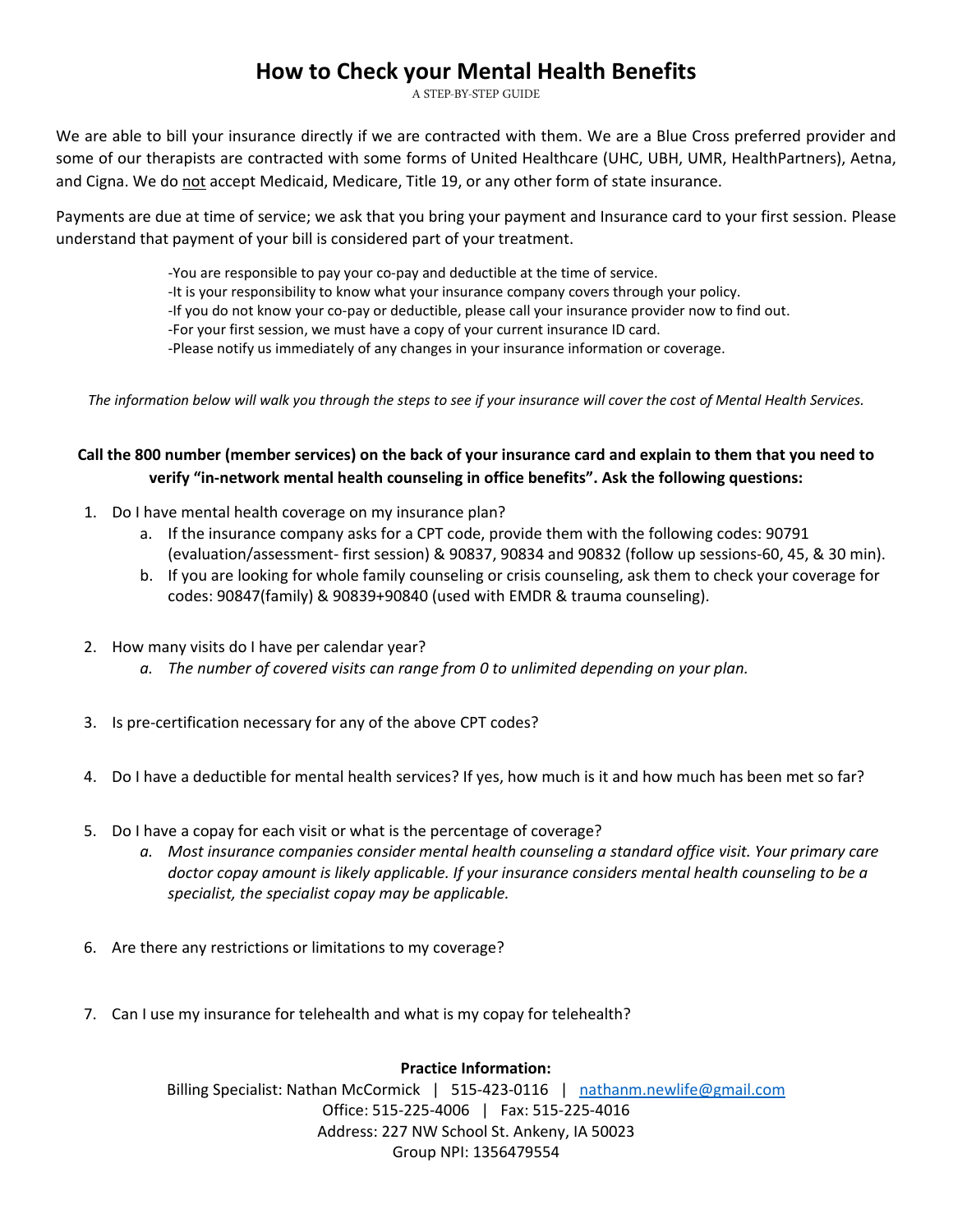## **How to Check your Mental Health Benefits**

A STEP-BY-STEP GUIDE

We are able to bill your insurance directly if we are contracted with them. We are a Blue Cross preferred provider and some of our therapists are contracted with some forms of United Healthcare (UHC, UBH, UMR, HealthPartners), Aetna, and Cigna. We do not accept Medicaid, Medicare, Title 19, or any other form of state insurance.

Payments are due at time of service; we ask that you bring your payment and Insurance card to your first session. Please understand that payment of your bill is considered part of your treatment.

-You are responsible to pay your co-pay and deductible at the time of service.

-It is your responsibility to know what your insurance company covers through your policy.

-If you do not know your co-pay or deductible, please call your insurance provider now to find out.

-For your first session, we must have a copy of your current insurance ID card.

-Please notify us immediately of any changes in your insurance information or coverage.

*The information below will walk you through the steps to see if your insurance will cover the cost of Mental Health Services.* 

### **Call the 800 number (member services) on the back of your insurance card and explain to them that you need to verify "in-network mental health counseling in office benefits". Ask the following questions:**

- 1. Do I have mental health coverage on my insurance plan?
	- a. If the insurance company asks for a CPT code, provide them with the following codes: 90791 (evaluation/assessment- first session) & 90837, 90834 and 90832 (follow up sessions-60, 45, & 30 min).
	- b. If you are looking for whole family counseling or crisis counseling, ask them to check your coverage for codes: 90847(family) & 90839+90840 (used with EMDR & trauma counseling).
- 2. How many visits do I have per calendar year?
	- *a. The number of covered visits can range from 0 to unlimited depending on your plan.*
- 3. Is pre-certification necessary for any of the above CPT codes?
- 4. Do I have a deductible for mental health services? If yes, how much is it and how much has been met so far?
- 5. Do I have a copay for each visit or what is the percentage of coverage?
	- *a. Most insurance companies consider mental health counseling a standard office visit. Your primary care doctor copay amount is likely applicable. If your insurance considers mental health counseling to be a specialist, the specialist copay may be applicable.*
- 6. Are there any restrictions or limitations to my coverage?
- 7. Can I use my insurance for telehealth and what is my copay for telehealth?

**Practice Information:**

Billing Specialist: Nathan McCormick | 515-423-0116 | [nathanm.newlife@gmail.com](mailto:nathanm.newlife@gmail.com) Office: 515-225-4006 | Fax: 515-225-4016 Address: 227 NW School St. Ankeny, IA 50023 Group NPI: 1356479554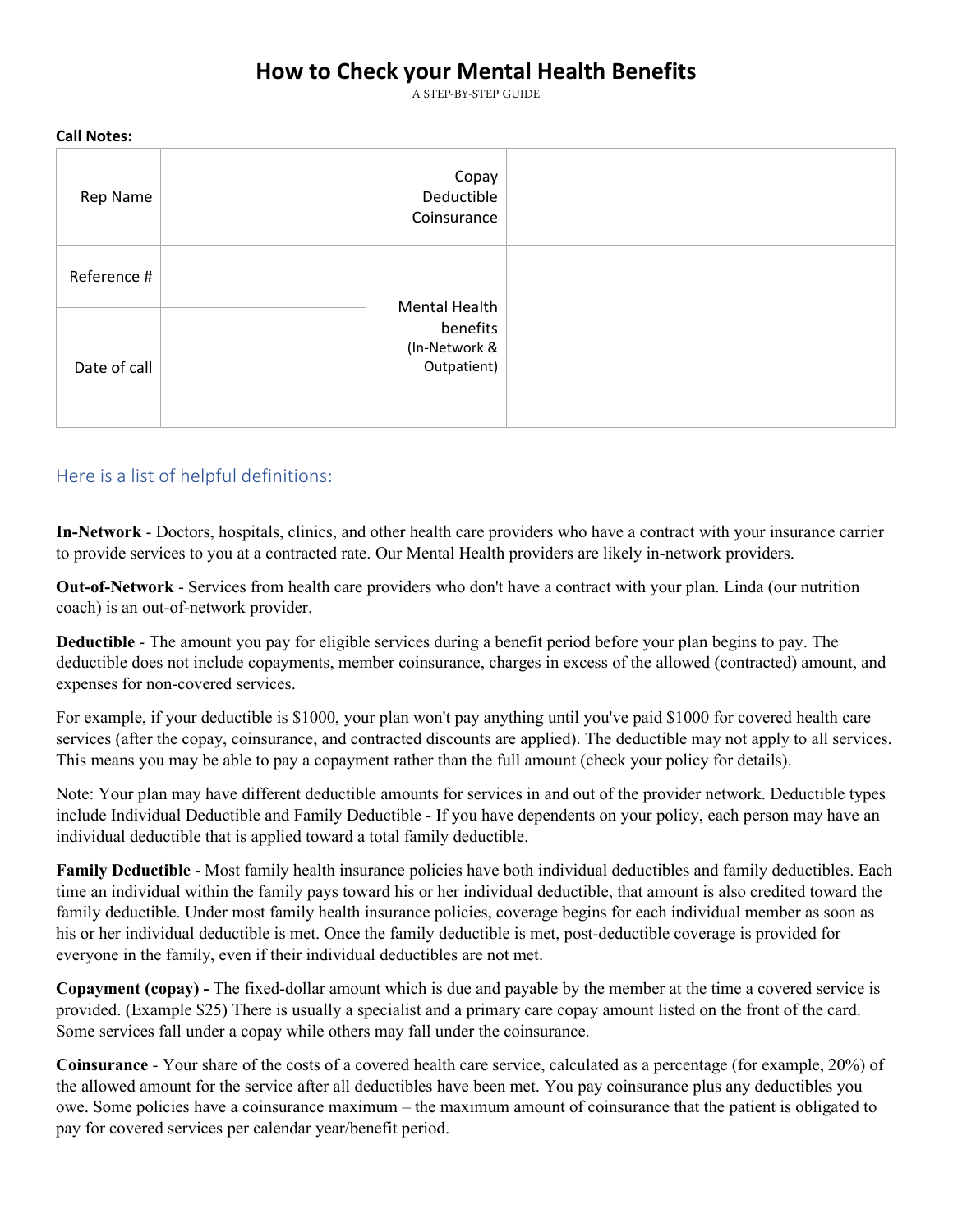# **How to Check your Mental Health Benefits**

A STEP-BY-STEP GUIDE

| -----------  |                                                           |
|--------------|-----------------------------------------------------------|
| Rep Name     | Copay<br>Deductible<br>Coinsurance                        |
| Reference #  |                                                           |
| Date of call | Mental Health<br>benefits<br>(In-Network &<br>Outpatient) |

#### **Call Notes:**

### Here is a list of helpful definitions:

**In-Network** - Doctors, hospitals, clinics, and other health care providers who have a contract with your insurance carrier to provide services to you at a contracted rate. Our Mental Health providers are likely in-network providers.

**Out-of-Network** - Services from health care providers who don't have a contract with your plan. Linda (our nutrition coach) is an out-of-network provider.

**Deductible** - The amount you pay for eligible services during a benefit period before your plan begins to pay. The deductible does not include copayments, member coinsurance, charges in excess of the allowed (contracted) amount, and expenses for non-covered services.

For example, if your deductible is \$1000, your plan won't pay anything until you've paid \$1000 for covered health care services (after the copay, coinsurance, and contracted discounts are applied). The deductible may not apply to all services. This means you may be able to pay a copayment rather than the full amount (check your policy for details).

Note: Your plan may have different deductible amounts for services in and out of the provider network. Deductible types include Individual Deductible and Family Deductible - If you have dependents on your policy, each person may have an individual deductible that is applied toward a total family deductible.

**Family Deductible** - Most family health insurance policies have both individual deductibles and family deductibles. Each time an individual within the family pays toward his or her individual deductible, that amount is also credited toward the family deductible. Under most family health insurance policies, coverage begins for each individual member as soon as his or her individual deductible is met. Once the family deductible is met, post-deductible coverage is provided for everyone in the family, even if their individual deductibles are not met.

**Copayment (copay) -** The fixed-dollar amount which is due and payable by the member at the time a covered service is provided. (Example \$25) There is usually a specialist and a primary care copay amount listed on the front of the card. Some services fall under a copay while others may fall under the coinsurance.

**Coinsurance** - Your share of the costs of a covered health care service, calculated as a percentage (for example, 20%) of the allowed amount for the service after all deductibles have been met. You pay coinsurance plus any deductibles you owe. Some policies have a coinsurance maximum – the maximum amount of coinsurance that the patient is obligated to pay for covered services per calendar year/benefit period.